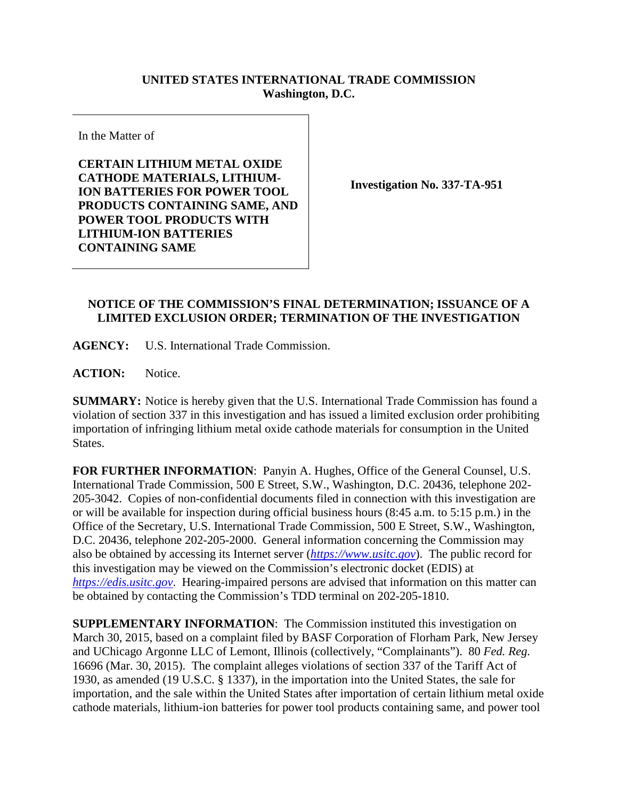## **UNITED STATES INTERNATIONAL TRADE COMMISSION Washington, D.C.**

In the Matter of

**CERTAIN LITHIUM METAL OXIDE CATHODE MATERIALS, LITHIUM-ION BATTERIES FOR POWER TOOL PRODUCTS CONTAINING SAME, AND POWER TOOL PRODUCTS WITH LITHIUM-ION BATTERIES CONTAINING SAME**

**Investigation No. 337-TA-951**

## **NOTICE OF THE COMMISSION'S FINAL DETERMINATION; ISSUANCE OF A LIMITED EXCLUSION ORDER; TERMINATION OF THE INVESTIGATION**

**AGENCY:** U.S. International Trade Commission.

**ACTION:** Notice.

**SUMMARY:** Notice is hereby given that the U.S. International Trade Commission has found a violation of section 337 in this investigation and has issued a limited exclusion order prohibiting importation of infringing lithium metal oxide cathode materials for consumption in the United States.

**FOR FURTHER INFORMATION**: Panyin A. Hughes, Office of the General Counsel, U.S. International Trade Commission, 500 E Street, S.W., Washington, D.C. 20436, telephone 202- 205-3042. Copies of non-confidential documents filed in connection with this investigation are or will be available for inspection during official business hours (8:45 a.m. to 5:15 p.m.) in the Office of the Secretary, U.S. International Trade Commission, 500 E Street, S.W., Washington, D.C. 20436, telephone 202-205-2000. General information concerning the Commission may also be obtained by accessing its Internet server (*[https://www.usitc.gov](https://www.usitc.gov/)*). The public record for this investigation may be viewed on the Commission's electronic docket (EDIS) at *[https://edis.usitc.gov](https://edis.usitc.gov/)*. Hearing-impaired persons are advised that information on this matter can be obtained by contacting the Commission's TDD terminal on 202-205-1810.

**SUPPLEMENTARY INFORMATION**: The Commission instituted this investigation on March 30, 2015, based on a complaint filed by BASF Corporation of Florham Park, New Jersey and UChicago Argonne LLC of Lemont, Illinois (collectively, "Complainants"). 80 *Fed. Reg.*  16696 (Mar. 30, 2015). The complaint alleges violations of section 337 of the Tariff Act of 1930, as amended (19 U.S.C. § 1337), in the importation into the United States, the sale for importation, and the sale within the United States after importation of certain lithium metal oxide cathode materials, lithium-ion batteries for power tool products containing same, and power tool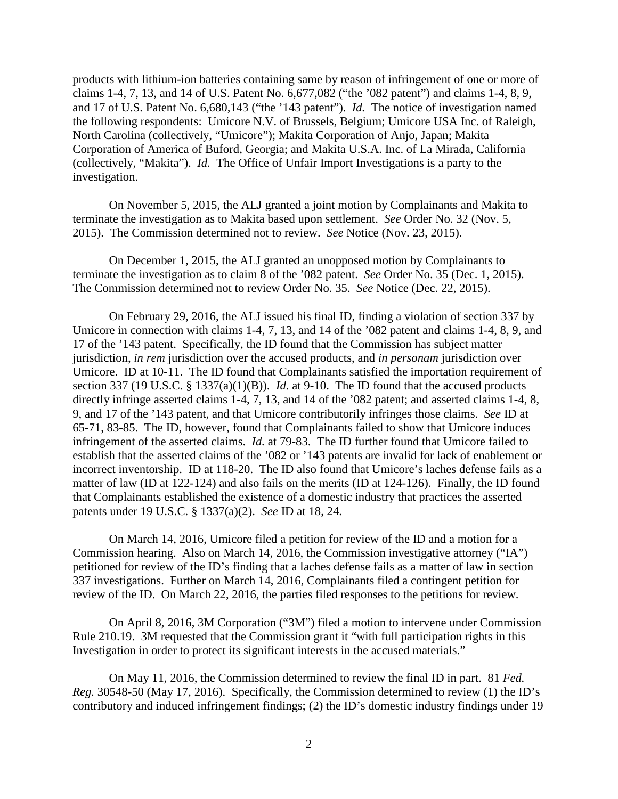products with lithium-ion batteries containing same by reason of infringement of one or more of claims 1-4, 7, 13, and 14 of U.S. Patent No. 6,677,082 ("the '082 patent") and claims 1-4, 8, 9, and 17 of U.S. Patent No. 6,680,143 ("the '143 patent"). *Id.* The notice of investigation named the following respondents: Umicore N.V. of Brussels, Belgium; Umicore USA Inc. of Raleigh, North Carolina (collectively, "Umicore"); Makita Corporation of Anjo, Japan; Makita Corporation of America of Buford, Georgia; and Makita U.S.A. Inc. of La Mirada, California (collectively, "Makita"). *Id.* The Office of Unfair Import Investigations is a party to the investigation.

On November 5, 2015, the ALJ granted a joint motion by Complainants and Makita to terminate the investigation as to Makita based upon settlement. *See* Order No. 32 (Nov. 5, 2015). The Commission determined not to review. *See* Notice (Nov. 23, 2015).

On December 1, 2015, the ALJ granted an unopposed motion by Complainants to terminate the investigation as to claim 8 of the '082 patent. *See* Order No. 35 (Dec. 1, 2015). The Commission determined not to review Order No. 35. *See* Notice (Dec. 22, 2015).

On February 29, 2016, the ALJ issued his final ID, finding a violation of section 337 by Umicore in connection with claims 1-4, 7, 13, and 14 of the '082 patent and claims 1-4, 8, 9, and 17 of the '143 patent. Specifically, the ID found that the Commission has subject matter jurisdiction, *in rem* jurisdiction over the accused products, and *in personam* jurisdiction over Umicore. ID at 10-11. The ID found that Complainants satisfied the importation requirement of section 337 (19 U.S.C. § 1337(a)(1)(B)). *Id.* at 9-10. The ID found that the accused products directly infringe asserted claims 1-4, 7, 13, and 14 of the '082 patent; and asserted claims 1-4, 8, 9, and 17 of the '143 patent, and that Umicore contributorily infringes those claims. *See* ID at 65-71, 83-85. The ID, however, found that Complainants failed to show that Umicore induces infringement of the asserted claims. *Id.* at 79-83. The ID further found that Umicore failed to establish that the asserted claims of the '082 or '143 patents are invalid for lack of enablement or incorrect inventorship. ID at 118-20. The ID also found that Umicore's laches defense fails as a matter of law (ID at 122-124) and also fails on the merits (ID at 124-126). Finally, the ID found that Complainants established the existence of a domestic industry that practices the asserted patents under 19 U.S.C. § 1337(a)(2). *See* ID at 18, 24.

On March 14, 2016, Umicore filed a petition for review of the ID and a motion for a Commission hearing. Also on March 14, 2016, the Commission investigative attorney ("IA") petitioned for review of the ID's finding that a laches defense fails as a matter of law in section 337 investigations. Further on March 14, 2016, Complainants filed a contingent petition for review of the ID. On March 22, 2016, the parties filed responses to the petitions for review.

On April 8, 2016, 3M Corporation ("3M") filed a motion to intervene under Commission Rule 210.19. 3M requested that the Commission grant it "with full participation rights in this Investigation in order to protect its significant interests in the accused materials."

On May 11, 2016, the Commission determined to review the final ID in part. 81 *Fed. Reg.* 30548-50 (May 17, 2016). Specifically, the Commission determined to review (1) the ID's contributory and induced infringement findings; (2) the ID's domestic industry findings under 19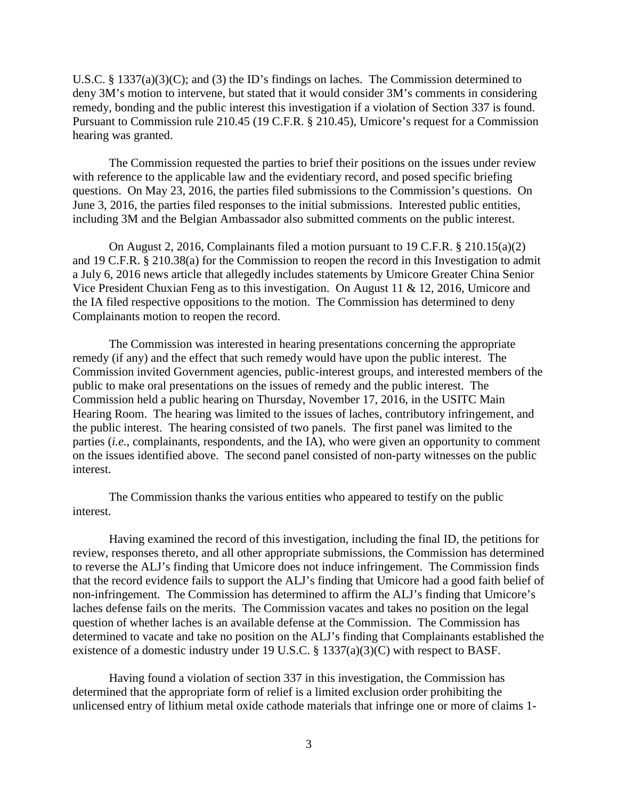U.S.C. § 1337(a)(3)(C); and (3) the ID's findings on laches. The Commission determined to deny 3M's motion to intervene, but stated that it would consider 3M's comments in considering remedy, bonding and the public interest this investigation if a violation of Section 337 is found. Pursuant to Commission rule 210.45 (19 C.F.R. § 210.45), Umicore's request for a Commission hearing was granted.

The Commission requested the parties to brief their positions on the issues under review with reference to the applicable law and the evidentiary record, and posed specific briefing questions. On May 23, 2016, the parties filed submissions to the Commission's questions. On June 3, 2016, the parties filed responses to the initial submissions. Interested public entities, including 3M and the Belgian Ambassador also submitted comments on the public interest.

On August 2, 2016, Complainants filed a motion pursuant to 19 C.F.R. § 210.15(a)(2) and 19 C.F.R. § 210.38(a) for the Commission to reopen the record in this Investigation to admit a July 6, 2016 news article that allegedly includes statements by Umicore Greater China Senior Vice President Chuxian Feng as to this investigation. On August 11 & 12, 2016, Umicore and the IA filed respective oppositions to the motion. The Commission has determined to deny Complainants motion to reopen the record.

The Commission was interested in hearing presentations concerning the appropriate remedy (if any) and the effect that such remedy would have upon the public interest. The Commission invited Government agencies, public-interest groups, and interested members of the public to make oral presentations on the issues of remedy and the public interest. The Commission held a public hearing on Thursday, November 17, 2016, in the USITC Main Hearing Room. The hearing was limited to the issues of laches, contributory infringement, and the public interest. The hearing consisted of two panels. The first panel was limited to the parties (*i.e.*, complainants, respondents, and the IA), who were given an opportunity to comment on the issues identified above. The second panel consisted of non-party witnesses on the public interest.

The Commission thanks the various entities who appeared to testify on the public interest.

Having examined the record of this investigation, including the final ID, the petitions for review, responses thereto, and all other appropriate submissions, the Commission has determined to reverse the ALJ's finding that Umicore does not induce infringement. The Commission finds that the record evidence fails to support the ALJ's finding that Umicore had a good faith belief of non-infringement. The Commission has determined to affirm the ALJ's finding that Umicore's laches defense fails on the merits. The Commission vacates and takes no position on the legal question of whether laches is an available defense at the Commission. The Commission has determined to vacate and take no position on the ALJ's finding that Complainants established the existence of a domestic industry under 19 U.S.C. § 1337(a)(3)(C) with respect to BASF.

Having found a violation of section 337 in this investigation, the Commission has determined that the appropriate form of relief is a limited exclusion order prohibiting the unlicensed entry of lithium metal oxide cathode materials that infringe one or more of claims 1